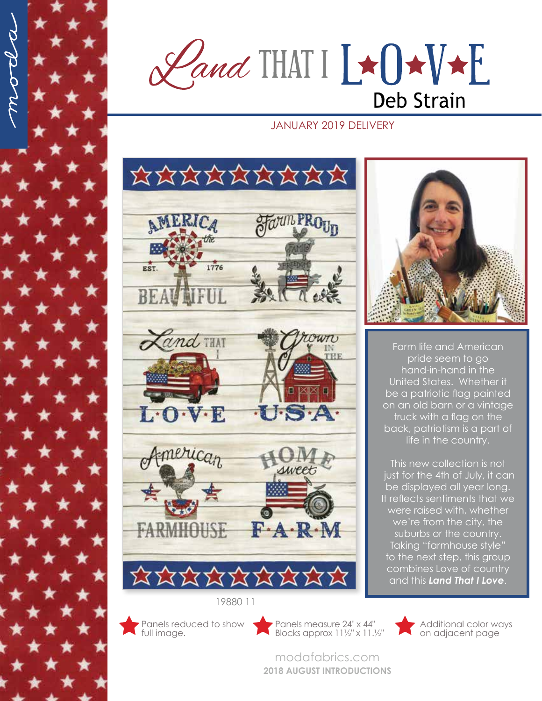$\mathscr{L}$ and THAT  $I \rightarrow I \rightarrow I$ **Deb Strain** 

## JANUARY 2019 DELIVERY





Farm life and American pride seem to go hand-in-hand in the United States. Whether it be a patriotic flag painted on an old barn or a vintage truck with a flag on the back, patriotism is a part of life in the country.

This new collection is not just for the 4th of July, it can be displayed all year long. It reflects sentiments that we were raised with, whether we're from the city, the suburbs or the country. Taking "farmhouse style" to the next step, this group combines Love of country and this *Land That I Love*.

Blocks approx 11½" x 11.½"

modafabrics.com **2018 AUGUST INTRODUCTIONS**



Additional color ways on adjacent page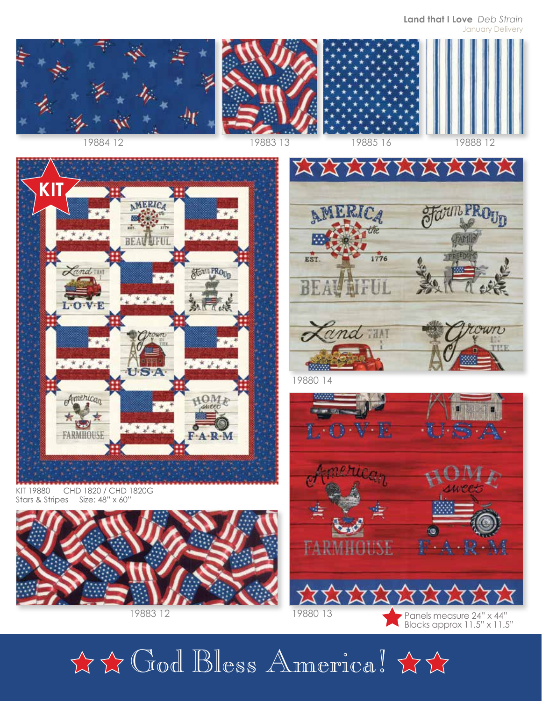**Land that I Love** *Deb Strain* January Delivery



LPRO<sub>Un</sub>



KIT 19880 CHD 1820 / CHD 1820G Stars & Stripes Size: 48" x 60"



19883 12



**XXXXXXXX** 

**AMERICA** 

19880 13

Panels measure 24" x 44" Blocks approx 11.5" x 11.5"

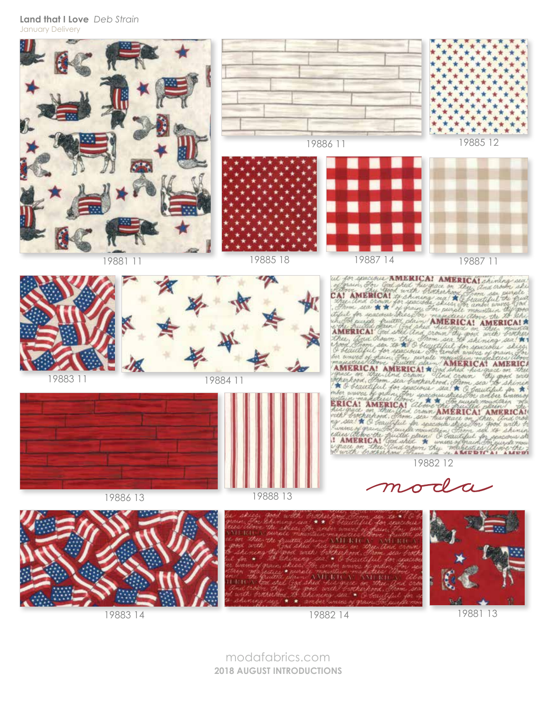**Land that I Love** *Deb Strain* January Delivery



19881 13